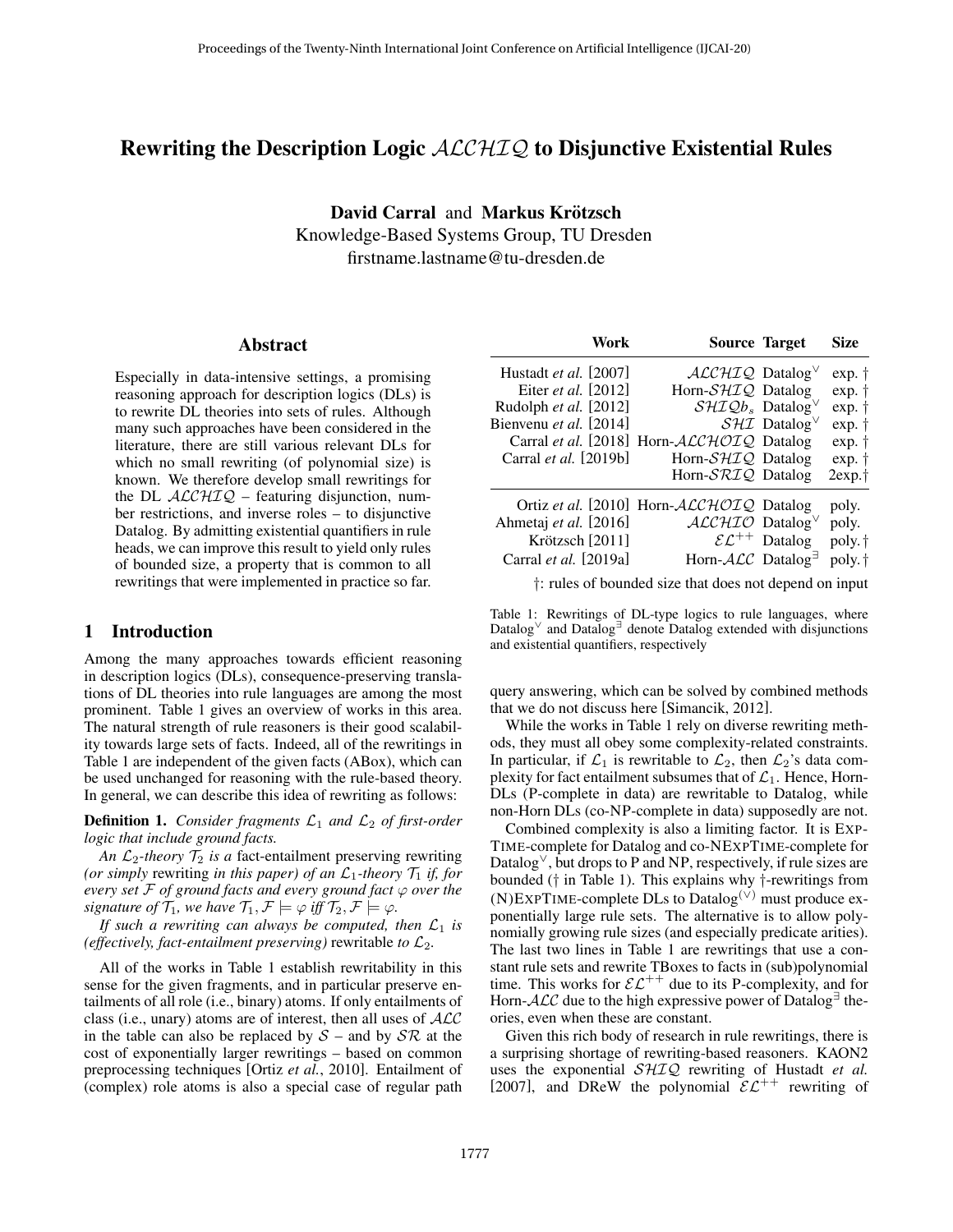## Rewriting the Description Logic  $ALCHIQ$  to Disjunctive Existential Rules

David Carral and Markus Krötzsch

Knowledge-Based Systems Group, TU Dresden firstname.lastname@tu-dresden.de

#### Abstract

Especially in data-intensive settings, a promising reasoning approach for description logics (DLs) is to rewrite DL theories into sets of rules. Although many such approaches have been considered in the literature, there are still various relevant DLs for which no small rewriting (of polynomial size) is known. We therefore develop small rewritings for the DL  $ALCHIQ$  – featuring disjunction, number restrictions, and inverse roles – to disjunctive Datalog. By admitting existential quantifiers in rule heads, we can improve this result to yield only rules of bounded size, a property that is common to all rewritings that were implemented in practice so far.

## 1 Introduction

Among the many approaches towards efficient reasoning in description logics (DLs), consequence-preserving translations of DL theories into rule languages are among the most prominent. Table [1](#page-0-0) gives an overview of works in this area. The natural strength of rule reasoners is their good scalability towards large sets of facts. Indeed, all of the rewritings in Table [1](#page-0-0) are independent of the given facts (ABox), which can be used unchanged for reasoning with the rule-based theory. In general, we can describe this idea of rewriting as follows:

**Definition 1.** *Consider fragments*  $\mathcal{L}_1$  *and*  $\mathcal{L}_2$  *of first-order logic that include ground facts.*

*An*  $\mathcal{L}_2$ -theory  $\mathcal{T}_2$  *is a* fact-entailment preserving rewriting *(or simply rewriting in this paper) of an*  $\mathcal{L}_1$ -theory  $\mathcal{T}_1$  *if, for every set*  $F$  *of ground facts and every ground fact*  $\varphi$  *over the signature of*  $\mathcal{T}_1$ *, we have*  $\mathcal{T}_1$ *,*  $\mathcal{F} \models \varphi$  *iff*  $\mathcal{T}_2$ *,*  $\mathcal{F} \models \varphi$ *.* 

*If such a rewriting can always be computed, then*  $\mathcal{L}_1$  *is (effectively, fact-entailment preserving)* rewritable *to*  $\mathcal{L}_2$ *.* 

All of the works in Table [1](#page-0-0) establish rewritability in this sense for the given fragments, and in particular preserve entailments of all role (i.e., binary) atoms. If only entailments of class (i.e., unary) atoms are of interest, then all uses of  $\cal{ALC}$ in the table can also be replaced by  $S$  – and by  $S\mathcal{R}$  at the cost of exponentially larger rewritings – based on common preprocessing techniques [Ortiz *et al.*[, 2010\]](#page-6-0). Entailment of (complex) role atoms is also a special case of regular path

<span id="page-0-0"></span>

| Work                         | <b>Source Target</b>                        |                                                | <b>Size</b>        |
|------------------------------|---------------------------------------------|------------------------------------------------|--------------------|
| Hustadt <i>et al.</i> [2007] | $ALCHIQ$ Datalog <sup>V</sup>               |                                                | exp. †             |
| Eiter et al. [2012]          | Horn-SHIQ Datalog                           |                                                | exp. †             |
| Rudolph et al. [2012]        | $\mathcal{SHIQb}_s$ Datalog <sup>V</sup>    |                                                | exp. †             |
| Bienvenu et al. [2014]       |                                             | $\mathcal{S}H\mathcal{I}$ Datalog <sup>V</sup> | exp. †             |
|                              | Carral et al. [2018] Horn-ALCHOIQ Datalog   |                                                | exp. †             |
| Carral et al. [2019b]        | Horn- $\mathcal{SHIQ}$ Datalog              |                                                | exp. †             |
|                              | Horn-SRIQ Datalog                           |                                                | 2exp.t             |
|                              | Ortiz et al. [2010] Horn-ALCHOIQ Datalog    |                                                | poly.              |
| Ahmetaj et al. [2016]        | $ALCHIO$ Datalog <sup>V</sup>               |                                                | poly.              |
| Krötzsch [2011]              |                                             | $\mathcal{EL}^{++}$ Datalog                    | poly. <sup>†</sup> |
| Carral <i>et al.</i> [2019a] | Horn- $\mathcal{ALC}$ Datalog <sup>-1</sup> |                                                | poly. <sup>†</sup> |
|                              |                                             |                                                |                    |

†: rules of bounded size that does not depend on input

Table 1: Rewritings of DL-type logics to rule languages, where Datalog<sup>∨</sup> and Datalog<sup>∃</sup> denote Datalog extended with disjunctions and existential quantifiers, respectively

query answering, which can be solved by combined methods that we do not discuss here [\[Simancik, 2012\]](#page-6-10).

While the works in Table [1](#page-0-0) rely on diverse rewriting methods, they must all obey some complexity-related constraints. In particular, if  $\mathcal{L}_1$  is rewritable to  $\mathcal{L}_2$ , then  $\mathcal{L}_2$ 's data complexity for fact entailment subsumes that of  $\mathcal{L}_1$ . Hence, Horn-DLs (P-complete in data) are rewritable to Datalog, while non-Horn DLs (co-NP-complete in data) supposedly are not.

Combined complexity is also a limiting factor. It is EXP-TIME-complete for Datalog and co-NEXPTIME-complete for Datalog<sup>∨</sup>, but drops to P and NP, respectively, if rule sizes are bounded († in Table [1\)](#page-0-0). This explains why †-rewritings from (N)EXPTIME-complete DLs to Datalog(∨) must produce exponentially large rule sets. The alternative is to allow polynomially growing rule sizes (and especially predicate arities). The last two lines in Table [1](#page-0-0) are rewritings that use a constant rule sets and rewrite TBoxes to facts in (sub)polynomial time. This works for  $\mathcal{EL}^{++}$  due to its P-complexity, and for Horn- $\cal{ALC}$  due to the high expressive power of Datalog<sup> $\exists$ </sup> theories, even when these are constant.

Given this rich body of research in rule rewritings, there is a surprising shortage of rewriting-based reasoners. KAON2 uses the exponential SHIQ rewriting of [Hustadt](#page-6-1) *et al.* [\[2007\]](#page-6-1), and DReW the polynomial  $\mathcal{E} \mathcal{L}^{++}$  rewriting of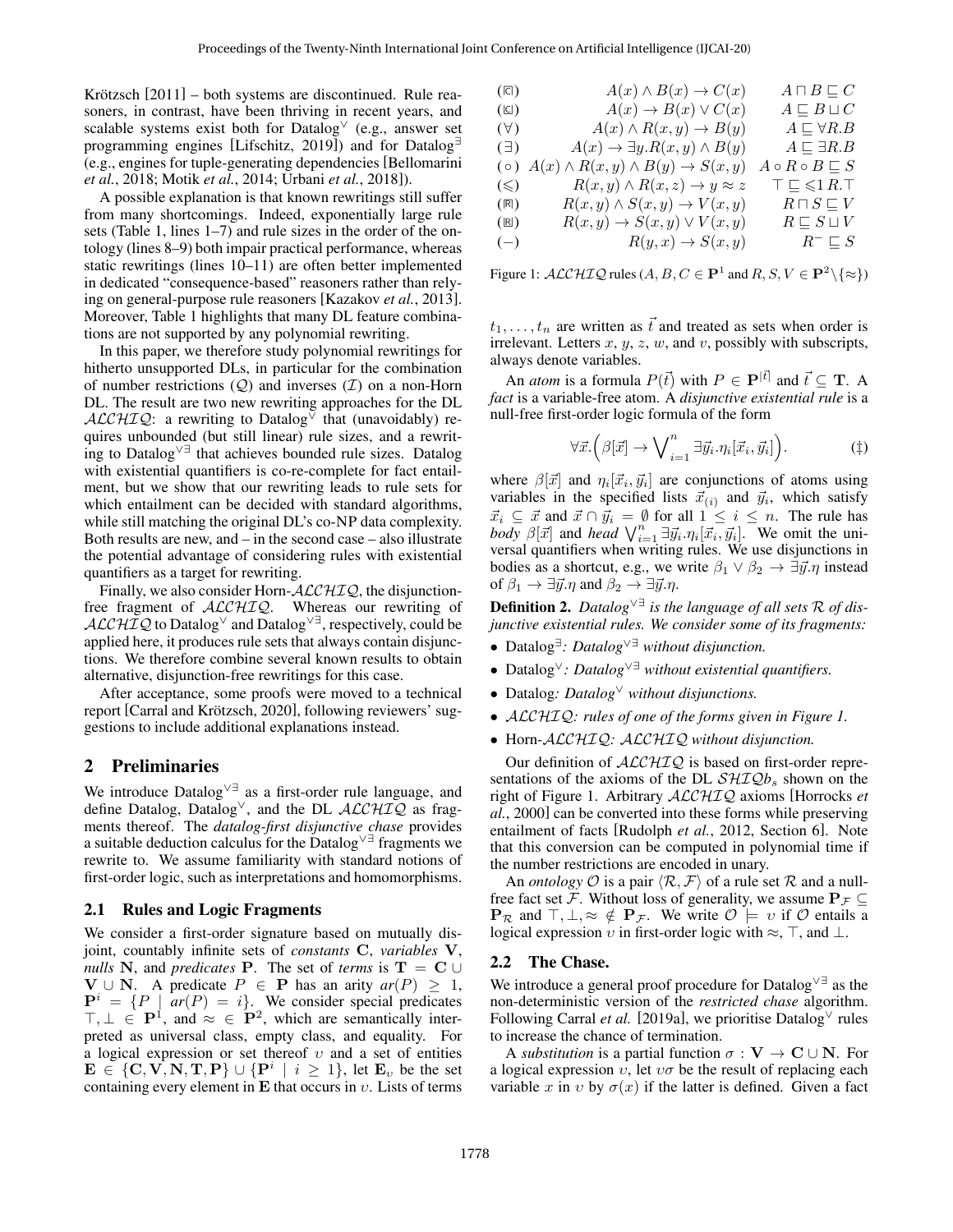Krötzsch  $[2011]$  – both systems are discontinued. Rule reasoners, in contrast, have been thriving in recent years, and scalable systems exist both for Datalog  $(e.g., a$ nswer set programming engines [\[Lifschitz, 2019\]](#page-6-11)) and for Datalog<sup>∃</sup> (e.g., engines for tuple-generating dependencies [\[Bellomarini](#page-6-12) *et al.*[, 2018;](#page-6-12) Motik *et al.*[, 2014;](#page-6-13) [Urbani](#page-6-14) *et al.*, 2018]).

A possible explanation is that known rewritings still suffer from many shortcomings. Indeed, exponentially large rule sets (Table [1,](#page-0-0) lines 1–7) and rule sizes in the order of the ontology (lines 8–9) both impair practical performance, whereas static rewritings (lines 10–11) are often better implemented in dedicated "consequence-based" reasoners rather than relying on general-purpose rule reasoners [\[Kazakov](#page-6-15) *et al.*, 2013]. Moreover, Table [1](#page-0-0) highlights that many DL feature combinations are not supported by any polynomial rewriting.

In this paper, we therefore study polynomial rewritings for hitherto unsupported DLs, in particular for the combination of number restrictions  $(Q)$  and inverses  $(I)$  on a non-Horn DL. The result are two new rewriting approaches for the DL ALCHIQ: a rewriting to Datalog<sup> $\overline{v}$ </sup> that (unavoidably) requires unbounded (but still linear) rule sizes, and a rewriting to Datalog∨∃ that achieves bounded rule sizes. Datalog with existential quantifiers is co-re-complete for fact entailment, but we show that our rewriting leads to rule sets for which entailment can be decided with standard algorithms, while still matching the original DL's co-NP data complexity. Both results are new, and – in the second case – also illustrate the potential advantage of considering rules with existential quantifiers as a target for rewriting.

Finally, we also consider Horn- $\text{ALCHIQ}$ , the disjunctionfree fragment of  $ALCHIQ$ . Whereas our rewriting of  $ALCHIQ$  to Datalog<sup>∨</sup> and Datalog<sup> $\vee$ </sup> =, respectively, could be applied here, it produces rule sets that always contain disjunctions. We therefore combine several known results to obtain alternative, disjunction-free rewritings for this case.

After acceptance, some proofs were moved to a technical report [Carral and Krötzsch, 2020], following reviewers' suggestions to include additional explanations instead.

## 2 Preliminaries

We introduce Datalog∨∃ as a first-order rule language, and define Datalog, Datalog<sup>∨</sup>, and the DL  $\mathcal{ALCHIQ}$  as fragments thereof. The *datalog-first disjunctive chase* provides a suitable deduction calculus for the Datalog∨∃ fragments we rewrite to. We assume familiarity with standard notions of first-order logic, such as interpretations and homomorphisms.

#### <span id="page-1-1"></span>2.1 Rules and Logic Fragments

We consider a first-order signature based on mutually disjoint, countably infinite sets of *constants* C, *variables* V, *nulls* N, and *predicates* P. The set of *terms* is  $T = C \cup$ **V** ∪ **N**. A predicate  $P$  ∈ **P** has an arity  $ar(P) \ge 1$ ,  ${\bf P}^i = \{P \mid ar(P) = i\}.$  We consider special predicates  $\top, \bot \in \mathbf{P}^1$ , and  $\approx \in \mathbf{P}^2$ , which are semantically interpreted as universal class, empty class, and equality. For a logical expression or set thereof  $v$  and a set of entities  $\mathbf{E} \in \{\mathbf{C}, \mathbf{V}, \mathbf{N}, \mathbf{T}, \mathbf{P}\} \cup \{\mathbf{P}^i \mid i \geq 1\}, \text{ let } \mathbf{E}_v \text{ be the set }$ containing every element in E that occurs in  $v$ . Lists of terms

<span id="page-1-0"></span>

| $(\Box)$       | $A(x) \wedge B(x) \rightarrow C(x)$                 | $A \sqcap B \sqsubseteq C$             |
|----------------|-----------------------------------------------------|----------------------------------------|
| $(\boxdot)$    | $A(x) \rightarrow B(x) \vee C(x)$                   | $A \sqsubset B \sqcup C$               |
| $(\forall)$    | $A(x) \wedge R(x,y) \rightarrow B(y)$               | $A \sqsubset \forall R.B$              |
| $(\exists)$    | $A(x) \rightarrow \exists y. R(x, y) \wedge B(y)$   | $A \sqsubset \exists R.B$              |
| $(\circ)$      | $A(x) \wedge R(x,y) \wedge B(y) \rightarrow S(x,y)$ | $A \circ R \circ B \sqsubseteq S$      |
| $(\leqslant)$  | $R(x, y) \wedge R(x, z) \rightarrow y \approx z$    | $\top \sqsubseteq \leqslant 1 R. \top$ |
| $(\mathbb{R})$ | $R(x, y) \wedge S(x, y) \rightarrow V(x, y)$        | $R \sqcap S \sqsubseteq V$             |
| $(\mathbb{B})$ | $R(x, y) \rightarrow S(x, y) \vee V(x, y)$          | $R \sqsubseteq S \sqcup V$             |
| $(-)$          | $R(y, x) \rightarrow S(x, y)$                       | $R^- \sqsubseteq S$                    |

Figure 1:  $\mathcal{ALCHIQ}$  rules  $(A, B, C \in \mathbf{P}^1$  and  $R, S, V \in \mathbf{P}^2 \setminus \{\approx\})$ 

 $t_1, \ldots, t_n$  are written as  $\vec{t}$  and treated as sets when order is irrelevant. Letters  $x, y, z, w$ , and  $v$ , possibly with subscripts, always denote variables.

An *atom* is a formula  $P(\vec{t})$  with  $P \in \mathbf{P}^{|\vec{t}|}$  and  $\vec{t} \subseteq \mathbf{T}$ . A *fact* is a variable-free atom. A *disjunctive existential rule* is a null-free first-order logic formula of the form

$$
\forall \vec{x}. \left( \beta[\vec{x}] \rightarrow \bigvee_{i=1}^{n} \exists \vec{y}_i . \eta_i[\vec{x}_i, \vec{y}_i] \right). \tag{\dagger}
$$

where  $\beta[\vec{x}]$  and  $\eta_i[\vec{x}_i, \vec{y}_i]$  are conjunctions of atoms using variables in the specified lists  $\vec{x}_{(i)}$  and  $\vec{y}_i$ , which satisfy  $\vec{x}_i \subseteq \vec{x}$  and  $\vec{x} \cap \vec{y}_i = \emptyset$  for all  $1 \leq i \leq n$ . The rule has  $\overline{body}$   $\beta[\vec{x}]$  and *head*  $\bigvee_{i=1}^{n} \exists \vec{y_i} \cdot \eta_i[\vec{x_i}, \vec{y_i}]$ . We omit the universal quantifiers when writing rules. We use disjunctions in bodies as a shortcut, e.g., we write  $\beta_1 \vee \beta_2 \rightarrow \exists \vec{y}.\eta$  instead of  $\beta_1 \rightarrow \exists \vec{y}.\eta$  and  $\beta_2 \rightarrow \exists \vec{y}.\eta$ .

Definition 2. *Datalog*∨∃ *is the language of all sets* R *of disjunctive existential rules. We consider some of its fragments:*

- Datalog<sup>∃</sup> *: Datalog*∨∃ *without disjunction.*
- Datalog<sup>∨</sup>*: Datalog*∨∃ *without existential quantifiers.*
- Datalog*: Datalog*<sup>∨</sup> *without disjunctions.*
- ALCHIQ*: rules of one of the forms given in Figure [1.](#page-1-0)*
- Horn-ALCHIQ*:* ALCHIQ *without disjunction.*

Our definition of  $ALCHIQ$  is based on first-order representations of the axioms of the DL  $\mathcal{SHIQb}_s$  shown on the right of Figure [1.](#page-1-0) Arbitrary ALCHIQ axioms [\[Horrocks](#page-6-17) *et al.*[, 2000\]](#page-6-17) can be converted into these forms while preserving entailment of facts [\[Rudolph](#page-6-3) *et al.*, 2012, Section 6]. Note that this conversion can be computed in polynomial time if the number restrictions are encoded in unary.

An *ontology*  $\mathcal O$  is a pair  $\langle \mathcal R, \mathcal F \rangle$  of a rule set  $\mathcal R$  and a nullfree fact set F. Without loss of generality, we assume  $P_{\mathcal{F}} \subseteq$  ${\bf P}_{\cal R}$  and  $\top, \bot, \approx \notin {\bf P}_{\cal F}$ . We write  ${\cal O} \models v$  if  ${\cal O}$  entails a logical expression v in first-order logic with  $\approx$ ,  $\top$ , and  $\bot$ .

#### 2.2 The Chase.

We introduce a general proof procedure for Datalog∨∃ as the non-deterministic version of the *restricted chase* algorithm. Following [Carral](#page-6-9) *et al.* [\[2019a\]](#page-6-9), we prioritise Datalog  $\vee$  rules to increase the chance of termination.

A *substitution* is a partial function  $\sigma : V \to C \cup N$ . For a logical expression  $v$ , let  $v\sigma$  be the result of replacing each variable x in v by  $\sigma(x)$  if the latter is defined. Given a fact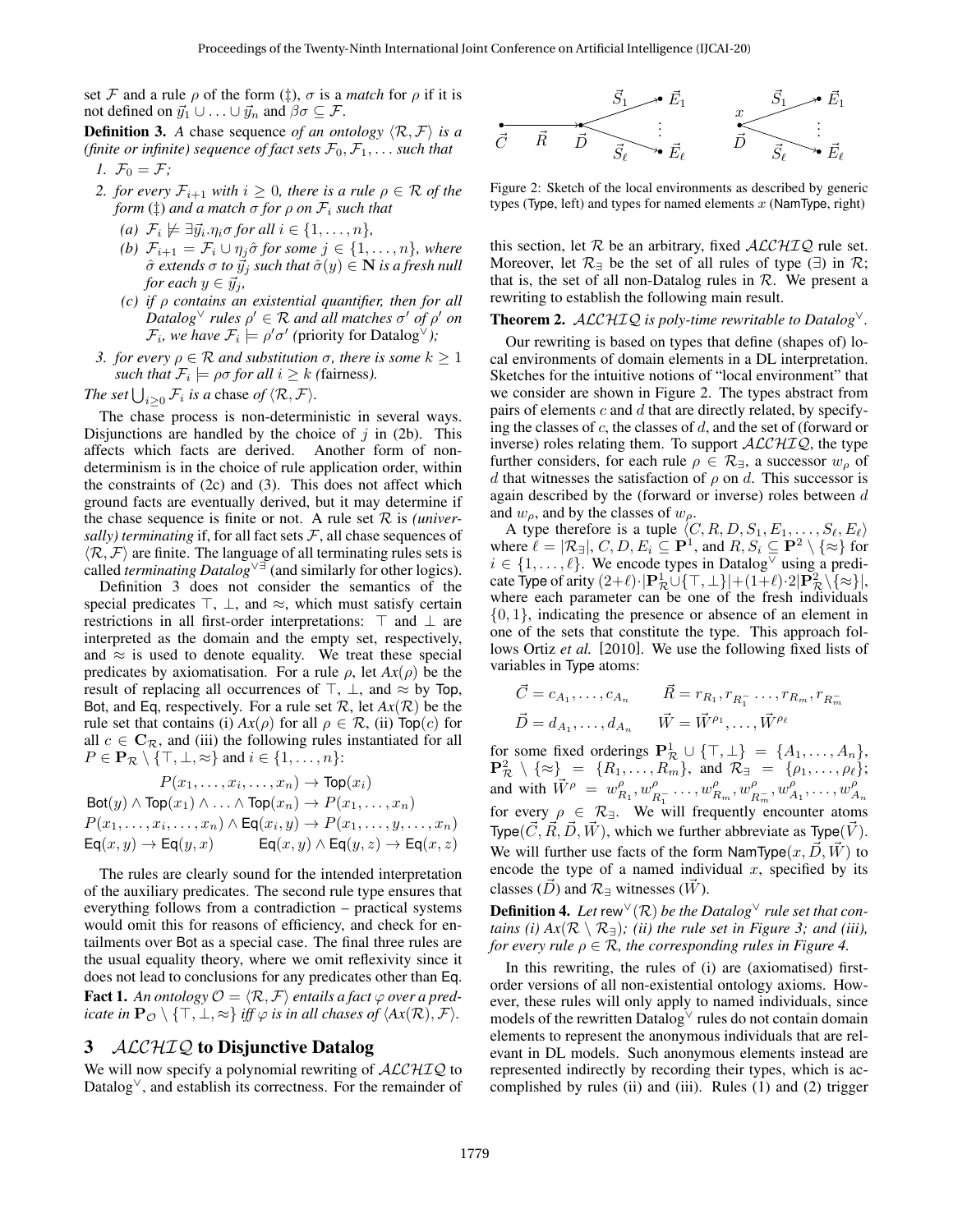set F and a rule  $\rho$  of the form  $(\ddagger)$ ,  $\sigma$  is a *match* for  $\rho$  if it is not defined on  $\vec{y}_1 \cup \ldots \cup \vec{y}_n$  and  $\beta \sigma \subseteq \mathcal{F}$ .

<span id="page-2-3"></span>**Definition 3.** *A* chase sequence *of an ontology*  $\langle \mathcal{R}, \mathcal{F} \rangle$  *is a (finite or infinite) sequence of fact sets*  $\mathcal{F}_0, \mathcal{F}_1, \ldots$  *such that 1.*  $\mathcal{F}_0 = \mathcal{F}$ ;

- <span id="page-2-0"></span>*2. for every*  $\mathcal{F}_{i+1}$  *with*  $i \geq 0$ *, there is a rule*  $\rho \in \mathcal{R}$  *of the form*  $(\dagger)$  *and a match*  $\sigma$  *for*  $\rho$  *on*  $\mathcal{F}_i$  *such that* 
	- $(a)$   $\mathcal{F}_i \not\models \exists \vec{y}_i.\eta_i \sigma \text{ for all } i \in \{1,\ldots,n\},$
	- *(b)*  $\mathcal{F}_{i+1} = \mathcal{F}_i \cup \eta_i \hat{\sigma}$  *for some*  $j \in \{1, \ldots, n\}$ *, where*  $\hat{\sigma}$  *extends*  $\sigma$  *to*  $\vec{y}_j$  *such that*  $\hat{\sigma}(y) \in \mathbf{N}$  *is a fresh null for each*  $y \in \vec{y}_i$ ,
	- *(c) if* ρ *contains an existential quantifier, then for all*  $\overline{D}$ *atalog*  $\vee$  *rules*  $\rho' \in \mathcal{R}$  *and all matches*  $\sigma'$  *of*  $\rho'$  *on*  $\mathcal{F}_i$ , we have  $\mathcal{F}_i \models \rho' \sigma'$  (priority for Datalog<sup> $\vee$ </sup>);
- <span id="page-2-2"></span><span id="page-2-1"></span>*3. for every*  $\rho \in \mathcal{R}$  *and substitution*  $\sigma$ *, there is some*  $k > 1$ *such that*  $\mathcal{F}_i \models \rho \sigma$  *for all*  $i \geq k$  *(fairness).*

*The set*  $\bigcup_{i\geq 0} \mathcal{F}_i$  *is a* chase *of*  $\langle \mathcal{R}, \mathcal{F} \rangle$ *.* 

The chase process is non-deterministic in several ways. Disjunctions are handled by the choice of  $j$  in [\(2b\)](#page-2-0). This affects which facts are derived. Another form of nondeterminism is in the choice of rule application order, within the constraints of [\(2c\)](#page-2-1) and [\(3\)](#page-2-2). This does not affect which ground facts are eventually derived, but it may determine if the chase sequence is finite or not. A rule set  $R$  is *(universally) terminating* if, for all fact sets  $F$ , all chase sequences of  $\langle \mathcal{R}, \mathcal{F} \rangle$  are finite. The language of all terminating rules sets is called *terminating Datalog*∨∃ (and similarly for other logics).

Definition [3](#page-2-3) does not consider the semantics of the special predicates  $\top$ ,  $\bot$ , and  $\approx$ , which must satisfy certain restrictions in all first-order interpretations:  $\top$  and  $\bot$  are interpreted as the domain and the empty set, respectively, and  $\approx$  is used to denote equality. We treat these special predicates by axiomatisation. For a rule  $\rho$ , let  $Ax(\rho)$  be the result of replacing all occurrences of  $\top$ ,  $\bot$ , and  $\approx$  by Top, Bot, and Eq, respectively. For a rule set  $\mathcal{R}$ , let  $Ax(\mathcal{R})$  be the rule set that contains (i)  $Ax(\rho)$  for all  $\rho \in \mathcal{R}$ , (ii)  $\text{Top}(c)$  for all  $c \in \mathbb{C}_{\mathcal{R}}$ , and (iii) the following rules instantiated for all  $P \in \mathbf{P}_{\mathcal{R}} \setminus \{\top, \bot, \approx\}$  and  $i \in \{1, \ldots, n\}$ :

$$
P(x_1, \ldots, x_i, \ldots, x_n) \to \text{Top}(x_i)
$$
  
Bot( $y$ )  $\land$  Top( $x_1$ )  $\land \ldots \land$  Top( $x_n$ )  $\to$   $P(x_1, \ldots, x_n)$   
 $P(x_1, \ldots, x_i, \ldots, x_n) \land$  Eq( $x_i, y$ )  $\to$   $P(x_1, \ldots, y, \ldots, x_n)$   
Eq( $x, y$ )  $\to$  Eq( $y, x$ )  $\qquad$  Eq( $x, y$ )  $\land$  Eq( $y, z$ )  $\to$  Eq( $x, z$ )

The rules are clearly sound for the intended interpretation of the auxiliary predicates. The second rule type ensures that everything follows from a contradiction – practical systems would omit this for reasons of efficiency, and check for entailments over Bot as a special case. The final three rules are the usual equality theory, where we omit reflexivity since it does not lead to conclusions for any predicates other than Eq. **Fact 1.** An ontology  $\mathcal{O} = \langle \mathcal{R}, \mathcal{F} \rangle$  entails a fact  $\varphi$  over a pred*icate in*  $\mathbf{P}_{\mathcal{O}} \setminus \{T, \bot, \approx\}$  *iff*  $\varphi$  *is in all chases of*  $\langle Ax(\mathcal{R}), \mathcal{F} \rangle$ *.* 

## <span id="page-2-6"></span>3 ALCHIQ to Disjunctive Datalog

We will now specify a polynomial rewriting of  $ALCHIQ$  to Datalog<sup>∨</sup>, and establish its correctness. For the remainder of

<span id="page-2-4"></span>

Figure 2: Sketch of the local environments as described by generic types (Type, left) and types for named elements  $x$  (NamType, right)

this section, let  $R$  be an arbitrary, fixed  $ALCHIQ$  rule set. Moreover, let  $\mathcal{R}_\exists$  be the set of all rules of type  $(\exists)$  in  $\mathcal{R}$ ; that is, the set of all non-Datalog rules in  $R$ . We present a rewriting to establish the following main result.

#### <span id="page-2-5"></span>Theorem 2. ALCHIQ *is poly-time rewritable to Datalog*<sup>∨</sup>*.*

Our rewriting is based on types that define (shapes of) local environments of domain elements in a DL interpretation. Sketches for the intuitive notions of "local environment" that we consider are shown in Figure [2.](#page-2-4) The types abstract from pairs of elements  $c$  and  $d$  that are directly related, by specifying the classes of  $c$ , the classes of  $d$ , and the set of (forward or inverse) roles relating them. To support  $ALCHIQ$ , the type further considers, for each rule  $\rho \in \mathcal{R}_{\exists}$ , a successor  $w_{\rho}$  of d that witnesses the satisfaction of  $\rho$  on d. This successor is again described by the (forward or inverse) roles between  $d$ and  $w_{\rho}$ , and by the classes of  $w_{\rho}$ .

A type therefore is a tuple  $\langle C, R, D, S_1, E_1, \ldots, S_\ell, E_\ell \rangle$ where  $\ell = |\mathcal{R}_{\exists}|, C, D, E_i \subseteq \mathbf{P}^1$ , and  $R, S_i \subseteq \mathbf{P}^2 \setminus \{\approx\}$  for  $i \in \{1, \ldots, \ell\}$ . We encode types in Datalog using a predicate Type of arity  $(2+\ell)\cdot|\mathbf{P}_{\mathcal{R}}^1 \cup \{\top, \bot\}| + (1+\ell)\cdot 2|\mathbf{P}_{\mathcal{R}}^2 \setminus \{\infty\}|,$ where each parameter can be one of the fresh individuals  $\{0, 1\}$ , indicating the presence or absence of an element in one of the sets that constitute the type. This approach follows [Ortiz](#page-6-0) *et al.* [\[2010\]](#page-6-0). We use the following fixed lists of variables in Type atoms:

$$
\vec{C} = c_{A_1}, \dots, c_{A_n} \qquad \vec{R} = r_{R_1}, r_{R_1^-} \dots, r_{R_m}, r_{R_m^-}
$$

$$
\vec{D} = d_{A_1}, \dots, d_{A_n} \qquad \vec{W} = \vec{W}^{\rho_1}, \dots, \vec{W}^{\rho_\ell}
$$

for some fixed orderings  $\mathbf{P}_{\mathcal{R}}^1 \cup \{\top, \bot\} = \{A_1, \ldots, A_n\},\$  $\mathbf{P}_{\mathcal{R}}^2 \setminus \{\approx\} = \{R_1, \ldots, R_m\}$ , and  $\mathcal{R}_{\exists} = \{\rho_1, \ldots, \rho_\ell\};$ and with  $\vec{W}^{\rho} = w^{\rho}_{R_1}, w^{\rho}_{R_2}$  $\frac{\rho}{R_1} \ldots, w_{R_m}^{\rho}, w_{R_m}^{\rho}$  $P_{R_m}^{\rho}, w_{A_1}^{\rho}, \ldots, w_{A_n}^{\rho}$ for every  $\rho \in \mathcal{R}_{\exists}$ . We will frequently encounter atoms Type( $\vec{C}, \vec{R}, \vec{D}, \vec{W}$ ), which we further abbreviate as Type( $\vec{V}$ ). We will further use facts of the form NamType $(x, D, W)$  to encode the type of a named individual  $x$ , specified by its classes ( $\vec{D}$ ) and  $\mathcal{R}_{\exists}$  witnesses ( $\vec{W}$ ).

**Definition 4.** Let rew  $\sqrt{(R)}$  be the Datalog  $\sqrt{(R)}$  rule set that con*tains (i)*  $Ax(\mathcal{R} \setminus \mathcal{R}_{\exists})$ ; *(ii)* the rule set in Figure [3;](#page-3-0) and *(iii)*, *for every rule* ρ ∈ R*, the corresponding rules in Figure [4.](#page-3-1)*

In this rewriting, the rules of (i) are (axiomatised) firstorder versions of all non-existential ontology axioms. However, these rules will only apply to named individuals, since models of the rewritten Datalog<sup>∨</sup> rules do not contain domain elements to represent the anonymous individuals that are relevant in DL models. Such anonymous elements instead are represented indirectly by recording their types, which is accomplished by rules (ii) and (iii). Rules [\(1\)](#page-3-2) and [\(2\)](#page-3-3) trigger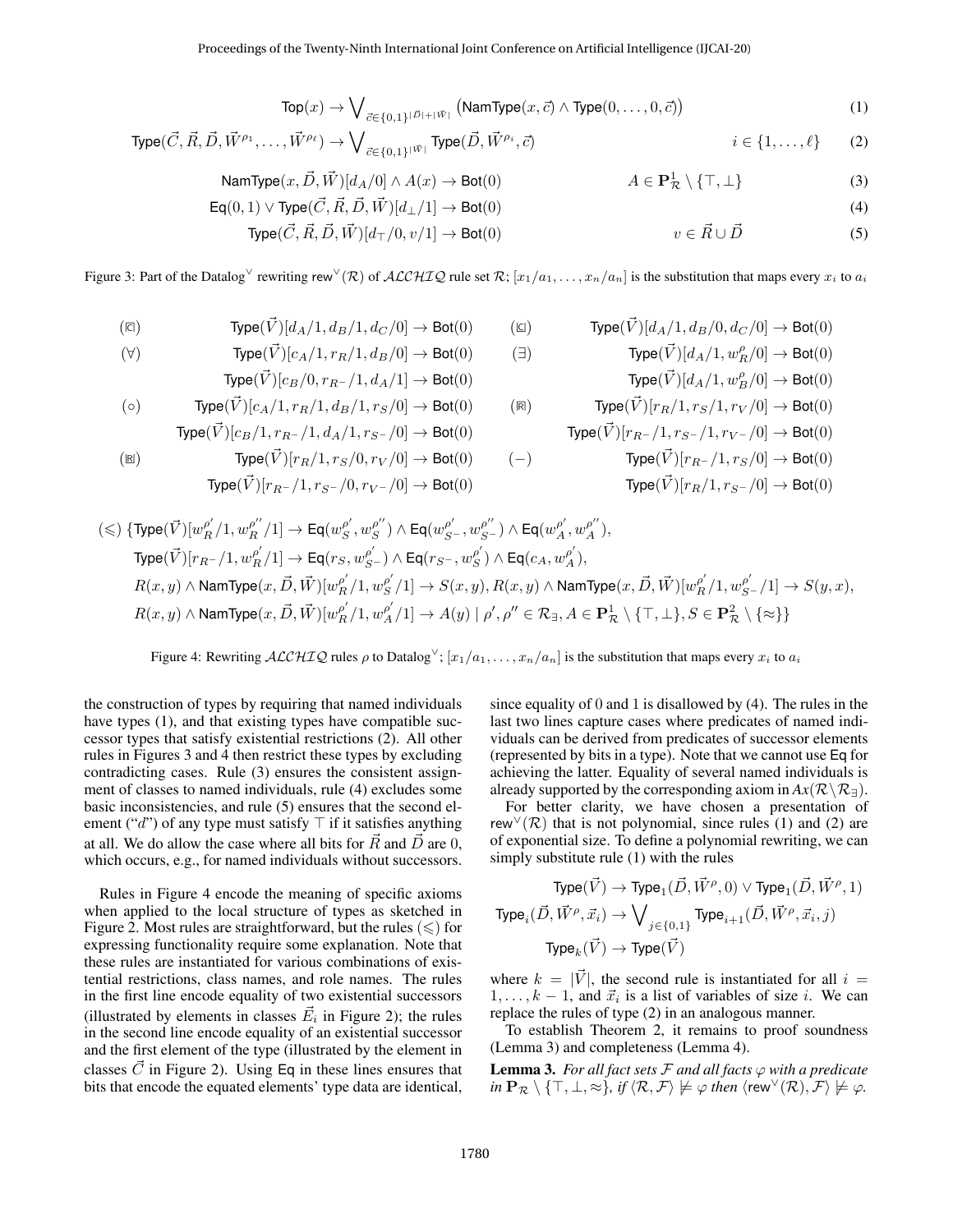<span id="page-3-6"></span><span id="page-3-5"></span><span id="page-3-4"></span><span id="page-3-3"></span><span id="page-3-2"></span>
$$
\text{Top}(x) \to \bigvee_{\vec{c} \in \{0,1\}^{|\vec{D}|+|\vec{W}|}} \left(\text{NamType}(x, \vec{c}) \land \text{Type}(0, \dots, 0, \vec{c})\right) \tag{1}
$$

<span id="page-3-0"></span>
$$
\text{Type}(\vec{C}, \vec{R}, \vec{D}, \vec{W}^{\rho_1}, \dots, \vec{W}^{\rho_\ell}) \to \bigvee_{\vec{c} \in \{0,1\}^{|\vec{W}|}} \text{Type}(\vec{D}, \vec{W}^{\rho_i}, \vec{c}) \qquad i \in \{1, \dots, \ell\} \tag{2}
$$

$$
\text{NamType}(x, \vec{D}, \vec{W})[d_A/0] \land A(x) \to \text{Bot}(0) \qquad A \in \mathbf{P}^1_{\mathcal{R}} \setminus \{\top, \bot\} \tag{3}
$$

$$
\mathsf{Eq}(0,1) \lor \mathsf{Type}(\vec{C}, \vec{R}, \vec{D}, \vec{W})[d_{\perp}/1] \to \mathsf{Bot}(0)
$$
\n
$$
\mathsf{Type}(\vec{C}, \vec{R}, \vec{D}, \vec{W})[d_{\top}/0, v/1] \to \mathsf{Bot}(0)
$$
\n
$$
v \in \vec{R} \cup \vec{D}
$$
\n
$$
(5)
$$

<span id="page-3-1"></span>Figure 3: Part of the Datalog<sup>∨</sup> rewriting rew<sup>∨</sup>(R) of ALCHIQ rule set R; [ $x_1/a_1, ..., x_n/a_n$ ] is the substitution that maps every  $x_i$  to  $a_i$ 

$$
\text{(a)} \qquad \qquad \text{Type}(\vec{V})[d_A/1,d_B/1,d_C/0] \rightarrow \text{Bot}(0) \qquad \quad \text{(b)} \qquad \qquad \text{Type}(\vec{V})[d_A/1,d_B/0,d_C/0] \rightarrow \text{Bot}(0)
$$

$$
(\forall) \qquad \qquad \text{Type}(\vec{V})[c_A/1, r_R/1, d_B/0] \to \text{Bot}(0) \qquad (\exists) \qquad \qquad \text{Type}(\vec{V})[d_A/1, w_R^{\rho}/0] \to \text{Bot}(0)
$$

$$
\text{Type}(\vec{V})[c_B/0, r_{R^-}/1, d_A/1] \to \text{Bot}(0)
$$
\n
$$
\text{Type}(\vec{V})[d_A/1, w_B^{\rho}/0] \to \text{Bot}(0)
$$
\n
$$
\text{Type}(\vec{V})[c_A/1, r_B/1, d_B/1, r_S/0] \to \text{Bot}(0)
$$
\n
$$
\text{Type}(\vec{V})[r_B/1, r_S/1, r_V/0] \to \text{Bot}(0)
$$

$$
\text{Type}(\vec{V})[c_B/1, r_{R^-}/1, d_A/1, r_{S^-}/0] \rightarrow \text{Bot}(0) \qquad \text{Type}(\vec{V})[r_{R^-}/1, r_{S^-}/1, r_{V^-}/0] \rightarrow \text{Bot}(0)
$$

$$
\begin{array}{ll}\n\text{(E)} & \text{Type}(\vec{V})[r_R/1, r_S/0, r_V/0] \rightarrow \text{Bot}(0) \\
\text{Type}(\vec{V})[r_R-/1, r_S-/0, r_V-/0] \rightarrow \text{Bot}(0) \\
\text{Type}(\vec{V})[r_R+/1, r_S-/0] \rightarrow \text{Bot}(0)\n\end{array}
$$

$$
\begin{aligned} (\leqslant) \ \{ \mathrm{Type}(\vec{V})[w_R^{\rho'}/1,w_R^{\rho''}/1] &\rightarrow \mathrm{Eq}(w_S^{\rho'},w_S^{\rho''}) \wedge \mathrm{Eq}(w_{S^-}^{\rho'},w_{S^-}^{\rho''}) \wedge \mathrm{Eq}(w_A^{\rho'},w_A^{\rho''}), \\ \mathrm{Type}(\vec{V})[r_{R^-}/1,w_R^{\rho'}/1] &\rightarrow \mathrm{Eq}(r_S,w_{S^-}^{\rho'}) \wedge \mathrm{Eq}(r_{S^-},w_S^{\rho'}) \wedge \mathrm{Eq}(c_A,w_A^{\rho'}), \\ R(x,y) &\wedge \mathrm{NamType}(x,\vec{D},\vec{W})[w_R^{\rho'}/1,w_S^{\rho'}/1] \rightarrow S(x,y), R(x,y) \wedge \mathrm{NamType}(x,\vec{D},\vec{W})[w_R^{\rho'}/1,w_{S^-}^{\rho'}/1] \rightarrow S(y,x), \\ R(x,y) &\wedge \mathrm{NamType}(x,\vec{D},\vec{W})[w_R^{\rho'}/1,w_A^{\rho'}/1] \rightarrow A(y) \mid \rho', \rho'' \in \mathcal{R}_{\exists}, A \in \mathbf{P}_{\mathcal{R}}^1 \setminus \{\top,\bot\}, S \in \mathbf{P}_{\mathcal{R}}^2 \setminus \{\approx\}\end{aligned}
$$

Figure 4: Rewriting  $ACCHIQ$  rules  $\rho$  to Datalog<sup> $\vee$ </sup>;  $[x_1/a_1, \ldots, x_n/a_n]$  is the substitution that maps every  $x_i$  to  $a_i$ 

the construction of types by requiring that named individuals have types [\(1\)](#page-3-2), and that existing types have compatible successor types that satisfy existential restrictions [\(2\)](#page-3-3). All other rules in Figures [3](#page-3-0) and [4](#page-3-1) then restrict these types by excluding contradicting cases. Rule [\(3\)](#page-3-4) ensures the consistent assignment of classes to named individuals, rule [\(4\)](#page-3-5) excludes some basic inconsistencies, and rule [\(5\)](#page-3-6) ensures that the second element ("d") of any type must satisfy  $\top$  if it satisfies anything at all. We do allow the case where all bits for  $\vec{R}$  and  $\vec{D}$  are 0, which occurs, e.g., for named individuals without successors.

Rules in Figure [4](#page-3-1) encode the meaning of specific axioms when applied to the local structure of types as sketched in Figure [2.](#page-2-4) Most rules are straightforward, but the rules  $(\leq)$  for expressing functionality require some explanation. Note that these rules are instantiated for various combinations of existential restrictions, class names, and role names. The rules in the first line encode equality of two existential successors (illustrated by elements in classes  $\vec{E}_i$  in Figure [2\)](#page-2-4); the rules in the second line encode equality of an existential successor and the first element of the type (illustrated by the element in classes  $\vec{C}$  in Figure [2\)](#page-2-4). Using Eq in these lines ensures that bits that encode the equated elements' type data are identical, since equality of 0 and 1 is disallowed by [\(4\)](#page-3-5). The rules in the last two lines capture cases where predicates of named individuals can be derived from predicates of successor elements (represented by bits in a type). Note that we cannot use Eq for achieving the latter. Equality of several named individuals is already supported by the corresponding axiom in  $Ax(\mathcal{R}\setminus\mathcal{R}_\exists)$ .

For better clarity, we have chosen a presentation of rew<sup> $\sqrt{(R)}$ </sup> that is not polynomial, since rules [\(1\)](#page-3-2) and [\(2\)](#page-3-3) are of exponential size. To define a polynomial rewriting, we can simply substitute rule [\(1\)](#page-3-2) with the rules

$$
\begin{aligned} \text{Type}(\vec{V}) &\rightarrow \text{Type}_1(\vec{D}, \vec{W}^\rho, 0) \vee \text{Type}_1(\vec{D}, \vec{W}^\rho, 1) \\ \text{Type}_i(\vec{D}, \vec{W}^\rho, \vec{x}_i) &\rightarrow \bigvee_{j \in \{0, 1\}} \text{Type}_{i+1}(\vec{D}, \vec{W}^\rho, \vec{x}_i, j) \\ \text{Type}_k(\vec{V}) &\rightarrow \text{Type}(\vec{V}) \end{aligned}
$$

where  $k = |\vec{V}|$ , the second rule is instantiated for all  $i =$  $1, \ldots, k-1$ , and  $\vec{x}_i$  is a list of variables of size *i*. We can replace the rules of type [\(2\)](#page-3-3) in an analogous manner.

To establish Theorem [2,](#page-2-5) it remains to proof soundness (Lemma [3\)](#page-3-7) and completeness (Lemma [4\)](#page-4-0).

<span id="page-3-7"></span>**Lemma 3.** For all fact sets  $F$  and all facts  $\varphi$  with a predicate  $in \mathbf{P}_{\mathcal{R}} \setminus \{\top, \bot, \approx\}, \text{ if } \langle \mathcal{R}, \mathcal{F} \rangle \not\models \varphi \text{ then } \langle \text{rew}^{\vee}(\mathcal{R}), \mathcal{F} \rangle \not\models \varphi.$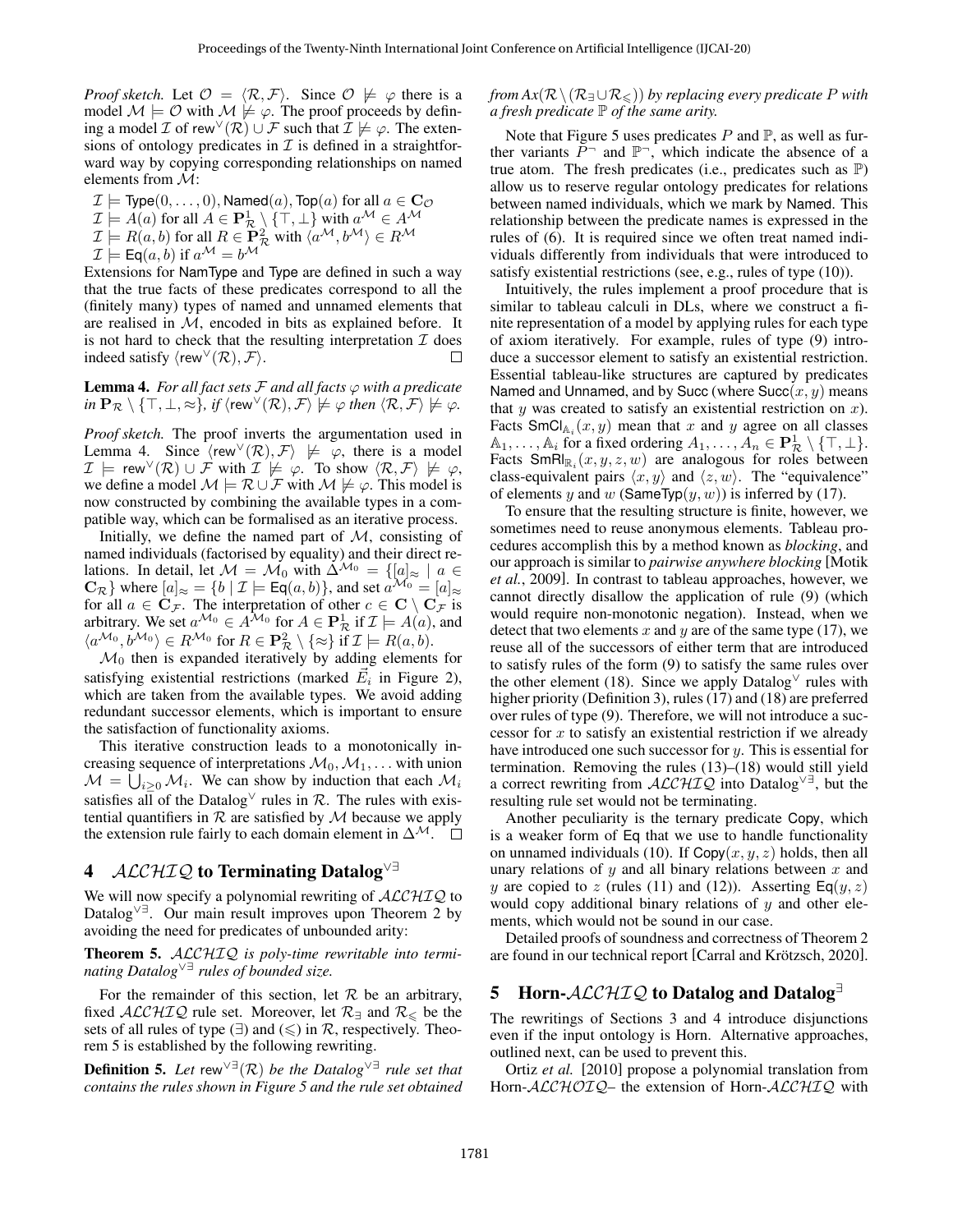*Proof sketch.* Let  $\mathcal{O} = \langle \mathcal{R}, \mathcal{F} \rangle$ . Since  $\mathcal{O} \not\models \varphi$  there is a model  $M \models \mathcal{O}$  with  $M \not\models \varphi$ . The proof proceeds by defining a model  $\mathcal I$  of rew<sup> $\vee(\mathcal R) \cup \mathcal F$  such that  $\mathcal I \not\models \varphi$ . The exten-</sup> sions of ontology predicates in  $\mathcal I$  is defined in a straightforward way by copying corresponding relationships on named elements from M:

$$
\mathcal{I} \models \text{Type}(0, \ldots, 0), \text{Named}(a), \text{Top}(a) \text{ for all } a \in \mathbf{C}_{\mathcal{O}}
$$
\n
$$
\mathcal{I} \models A(a) \text{ for all } A \in \mathbf{P}_{\mathcal{R}}^1 \setminus \{\top, \bot\} \text{ with } a^{\mathcal{M}} \in A^{\mathcal{M}}
$$
\n
$$
\mathcal{I} \models R(a, b) \text{ for all } R \in \mathbf{P}_{\mathcal{R}}^2 \text{ with } \langle a^{\mathcal{M}}, b^{\mathcal{M}} \rangle \in R^{\mathcal{M}}
$$
\n
$$
\mathcal{I} \models \text{Eq}(a, b) \text{ if } a^{\mathcal{M}} = b^{\mathcal{M}}
$$

Extensions for NamType and Type are defined in such a way that the true facts of these predicates correspond to all the (finitely many) types of named and unnamed elements that are realised in  $M$ , encoded in bits as explained before. It is not hard to check that the resulting interpretation  $\mathcal I$  does indeed satisfy  $\langle \text{rew}^{\vee}(\mathcal{R}), \mathcal{F} \rangle$ .  $\Box$ 

<span id="page-4-0"></span>**Lemma 4.** For all fact sets  $F$  and all facts  $\varphi$  with a predicate  $in \mathbf{P}_{\mathcal{R}} \setminus \{\top, \bot, \approx\}, \text{ if } \langle \text{rew}^{\vee}(\mathcal{R}), \mathcal{F} \rangle \not\models \varphi \text{ then } \langle \mathcal{R}, \mathcal{F} \rangle \not\models \varphi.$ 

*Proof sketch.* The proof inverts the argumentation used in Lemma [4.](#page-4-0) Since  $\langle \text{rew}^{\vee}(\mathcal{R}), \mathcal{F} \rangle \not\models \varphi$ , there is a model  $\mathcal{I} \models \text{rew}^{\vee}(\mathcal{R}) \cup \mathcal{F} \text{ with } \mathcal{I} \not\models \varphi. \text{ To show } \langle \mathcal{R}, \mathcal{F} \rangle \not\models \varphi,$ we define a model  $\mathcal{M} \models \mathcal{R} \cup \mathcal{F}$  with  $\mathcal{M} \not\models \varphi$ . This model is now constructed by combining the available types in a compatible way, which can be formalised as an iterative process.

Initially, we define the named part of  $M$ , consisting of named individuals (factorised by equality) and their direct relations. In detail, let  $M = M_0$  with  $\Delta^{M_0} = \{ [a]_{\approx} \mid a \in$  $\mathbb{C}_{\mathcal{R}}$  where  $[a]_{\approx} = \{b \mid \mathcal{I} \models \mathsf{Eq}(a, b)\}\)$ , and set  $a^{\mathcal{M}_0} = [a]_{\approx}$ for all  $a \in \mathbf{C}_{\mathcal{F}}$ . The interpretation of other  $c \in \mathbf{C} \setminus \mathbf{C}_{\mathcal{F}}$  is arbitrary. We set  $a^{\mathcal{M}_0} \in A^{\mathcal{M}_0}$  for  $A \in \mathbf{P}^1_{\mathcal{R}}$  if  $\mathcal{I} \models A(a)$ , and  $\langle a^{\mathcal{M}_0}, b^{\mathcal{M}_0} \rangle \in R^{\mathcal{M}_0}$  for  $R \in \mathbf{P}_{\mathcal{R}}^2 \setminus \{\approx\}$  if  $\mathcal{I} \models R(a, b)$ .

 $\mathcal{M}_0$  then is expanded iteratively by adding elements for satisfying existential restrictions (marked  $\vec{E}_i$  in Figure [2\)](#page-2-4), which are taken from the available types. We avoid adding redundant successor elements, which is important to ensure the satisfaction of functionality axioms.

This iterative construction leads to a monotonically increasing sequence of interpretations  $\mathcal{M}_0, \mathcal{M}_1, \dots$  with union  $\mathcal{M} = \bigcup_{i \geq 0} \mathcal{M}_i$ . We can show by induction that each  $\mathcal{M}_i$ satisfies all of the Datalog<sup> $\lor$ </sup> rules in  $\mathcal{R}$ . The rules with existential quantifiers in  $\mathcal R$  are satisfied by  $\mathcal M$  because we apply the extension rule fairly to each domain element in  $\Delta^{\mathcal{M}}$ .  $\square$ 

# <span id="page-4-2"></span>4 ALCHIQ to Terminating Datalog<sup>√∃</sup>

We will now specify a polynomial rewriting of  $ALCHIQ$  to Datalog∨∃. Our main result improves upon Theorem [2](#page-2-5) by avoiding the need for predicates of unbounded arity:

<span id="page-4-1"></span>Theorem 5. ALCHIQ *is poly-time rewritable into terminating Datalog*∨∃ *rules of bounded size.*

For the remainder of this section, let  $R$  be an arbitrary, fixed  $\mathcal{ALCHIQ}$  rule set. Moreover, let  $\mathcal{R}_{\exists}$  and  $\mathcal{R}_{\leq}$  be the sets of all rules of type  $(\exists)$  and  $(\le)$  in  $\mathcal{R}$ , respectively. Theorem [5](#page-4-1) is established by the following rewriting.

**Definition 5.** Let rew<sup> $\vee \exists$ </sup> ( $\mathcal{R}$ ) *be the Datalog*<sup> $\vee \exists$ </sup> *rule set that contains the rules shown in Figure [5](#page-5-0) and the rule set obtained*

## *from Ax*( $\mathcal{R} \setminus (\mathcal{R}_{\exists} \cup \mathcal{R}_{\leq})$ ) *by replacing every predicate* P *with a fresh predicate* P *of the same arity.*

Note that Figure [5](#page-5-0) uses predicates  $P$  and  $\mathbb{P}$ , as well as further variants  $\overline{P}$  and  $\mathbb{P}$ , which indicate the absence of a true atom. The fresh predicates (i.e., predicates such as P) allow us to reserve regular ontology predicates for relations between named individuals, which we mark by Named. This relationship between the predicate names is expressed in the rules of [\(6\)](#page-5-1). It is required since we often treat named individuals differently from individuals that were introduced to satisfy existential restrictions (see, e.g., rules of type [\(10\)](#page-5-2)).

Intuitively, the rules implement a proof procedure that is similar to tableau calculi in DLs, where we construct a finite representation of a model by applying rules for each type of axiom iteratively. For example, rules of type [\(9\)](#page-5-3) introduce a successor element to satisfy an existential restriction. Essential tableau-like structures are captured by predicates Named and Unnamed, and by Succ (where  $Succ(x, y)$  means that  $y$  was created to satisfy an existential restriction on  $x$ ). Facts SmCl $_{A_i}(x, y)$  mean that x and y agree on all classes  $\mathbb{A}_1, \ldots, \mathbb{A}_i$  for a fixed ordering  $A_1, \ldots, A_n \in \mathbf{P}^1_{\mathcal{R}} \setminus \{\top, \bot\}.$ Facts  $\textsf{SmRI}_{\mathbb{R}_i}(x, y, z, w)$  are analogous for roles between class-equivalent pairs  $\langle x, y \rangle$  and  $\langle z, w \rangle$ . The "equivalence" of elements y and w (SameTyp $(y, w)$ ) is inferred by [\(17\)](#page-5-4).

To ensure that the resulting structure is finite, however, we sometimes need to reuse anonymous elements. Tableau procedures accomplish this by a method known as *blocking*, and our approach is similar to *pairwise anywhere blocking* [\[Motik](#page-6-18) *et al.*[, 2009\]](#page-6-18). In contrast to tableau approaches, however, we cannot directly disallow the application of rule [\(9\)](#page-5-3) (which would require non-monotonic negation). Instead, when we detect that two elements x and y are of the same type  $(17)$ , we reuse all of the successors of either term that are introduced to satisfy rules of the form [\(9\)](#page-5-3) to satisfy the same rules over the other element [\(18\)](#page-5-5). Since we apply Datalog<sup> $\vee$ </sup> rules with higher priority (Definition [3\)](#page-2-3), rules [\(17\)](#page-5-4) and [\(18\)](#page-5-5) are preferred over rules of type [\(9\)](#page-5-3). Therefore, we will not introduce a successor for  $x$  to satisfy an existential restriction if we already have introduced one such successor for y. This is essential for termination. Removing the rules [\(13\)](#page-5-6)–[\(18\)](#page-5-5) would still yield a correct rewriting from  $\text{ALCHIQ}$  into Datalog<sup> $\vee \exists$ </sup>, but the resulting rule set would not be terminating.

Another peculiarity is the ternary predicate Copy, which is a weaker form of Eq that we use to handle functionality on unnamed individuals [\(10\)](#page-5-2). If  $Copy(x, y, z)$  holds, then all unary relations of  $y$  and all binary relations between  $x$  and y are copied to z (rules [\(11\)](#page-5-7) and [\(12\)](#page-5-8)). Asserting  $\textsf{Eq}(y, z)$ would copy additional binary relations of  $y$  and other elements, which would not be sound in our case.

Detailed proofs of soundness and correctness of Theorem [2](#page-2-5) are found in our technical report [Carral and Krötzsch, 2020].

## 5 Horn- $ALCHIQ$  to Datalog and Datalog<sup>∃</sup>

The rewritings of Sections [3](#page-2-6) and [4](#page-4-2) introduce disjunctions even if the input ontology is Horn. Alternative approaches, outlined next, can be used to prevent this.

[Ortiz](#page-6-0) *et al.* [\[2010\]](#page-6-0) propose a polynomial translation from Horn-ALCHOIQ – the extension of Horn-ALCHIQ with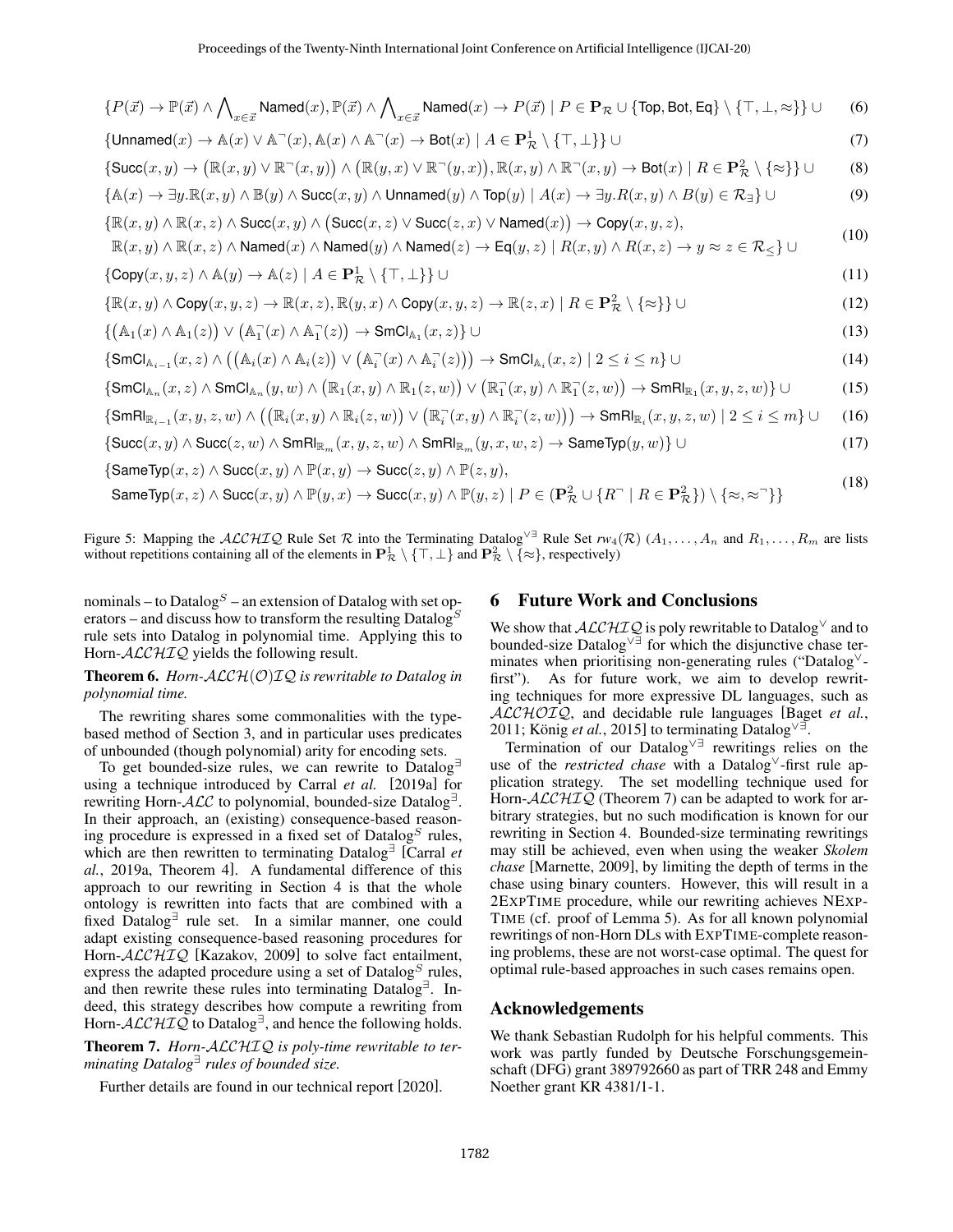<span id="page-5-0"></span>
$$
\{P(\vec{x}) \rightarrow \mathbb{P}(\vec{x}) \land \bigwedge_{x \in \vec{x}} \text{Named}(x), \mathbb{P}(\vec{x}) \land \bigwedge_{x \in \vec{x}} \text{Named}(x) \rightarrow P(\vec{x}) \mid P \in \mathbf{P}_{\mathcal{R}} \cup \{\text{Top}, \text{Bot}, \text{Eq}\} \setminus \{\top, \bot, \infty\} \} \cup \text{(6)}
$$
\n
$$
\{\text{Unnamed}(x) \rightarrow \mathbb{A}(x) \lor \mathbb{A}^{-}(x), \mathbb{A}(x) \land \mathbb{A}^{-}(x) \rightarrow \text{Bot}(x) \mid A \in \mathbf{P}_{\mathcal{R}}^{1} \setminus \{\top, \bot\} \} \cup \text{(7)}
$$
\n
$$
\{\text{Succ}(x, y) \rightarrow (\mathbb{R}(x, y) \lor \mathbb{R}^{-}(x, y)) \land (\mathbb{R}(y, x) \lor \mathbb{R}^{-}(y, x)), \mathbb{R}(x, y) \land \mathbb{R}^{-}(x, y) \rightarrow \text{Bot}(x) \mid R \in \mathbf{P}_{\mathcal{R}}^{2} \setminus \{\approx\} \} \cup \text{(8)}
$$
\n
$$
\{\mathbb{A}(x) \rightarrow \exists y. \mathbb{R}(x, y) \land \mathbb{B}(y) \land \text{Succ}(x, y) \land \text{Unnamed}(y) \land \text{Top}(y) \mid A(x) \rightarrow \exists y. R(x, y) \land B(y) \in \mathcal{R}_{\exists} \} \cup \text{(9)}
$$
\n
$$
\{\mathbb{R}(x, y) \land \mathbb{R}(x, z) \land \text{Named}(x) \land \text{Named}(y) \land \text{Nonmed}(z) \rightarrow \text{Eq}(y, z) \mid R(x, y) \land R(x, z) \rightarrow y \approx z \in \mathcal{R}_{\leq} \} \cup \text{(10)}
$$
\n
$$
\{\mathbb{C}\text{copy}(x, y, z) \land \mathbb{A}(y) \rightarrow \mathbb{A}(z) \mid A \in \mathbf{P}_{\mathcal{R}}^{1} \setminus \{\top, \bot\} \} \cup \text{(11)}
$$
\n
$$
\{\mathbb{R}(x, y) \land \text{Pop}(x, y, z) \rightarrow \mathbb{R}(x, z), \mathbb{R}(y, x) \land
$$

$$
\text{SameTyp}(x, z) \land \text{Succ}(x, y) \land \mathbb{P}(y, x) \rightarrow \text{Succ}(x, y) \land \mathbb{P}(y, z) \mid P \in (\mathbf{P}_{\mathcal{R}}^2 \cup \{R^{\neg} \mid R \in \mathbf{P}_{\mathcal{R}}^2\}) \setminus \{\approx, \approx\text{``} \} \tag{18}
$$

Figure 5: Mapping the ALCHIQ Rule Set R into the Terminating Datalog<sup> $\vee \exists$ </sup> Rule Set  $rw_4(\mathcal{R})$  $rw_4(\mathcal{R})$  $rw_4(\mathcal{R})$  ( $A_1, \ldots, A_n$  and  $R_1, \ldots, R_m$  are lists without repetitions containing all of the elements in  $\mathbf{P}^1_{\mathcal{R}} \setminus \{\top, \bot\}$  and  $\mathbf{P}^2_{\mathcal{R}} \setminus \{\approx\}$ , respectively)

nominals – to Datalog<sup>S</sup> – an extension of Datalog with set operators – and discuss how to transform the resulting Datalog<sup>S</sup> rule sets into Datalog in polynomial time. Applying this to Horn- $ALCHIQ$  yields the following result.

Theorem 6. *Horn-*ALCH(O)IQ *is rewritable to Datalog in polynomial time.*

The rewriting shares some commonalities with the typebased method of Section [3,](#page-2-6) and in particular uses predicates of unbounded (though polynomial) arity for encoding sets.

To get bounded-size rules, we can rewrite to Datalog<sup>∃</sup> using a technique introduced by [Carral](#page-6-9) *et al.* [\[2019a\]](#page-6-9) for rewriting Horn-ALC to polynomial, bounded-size Datalog<sup>∃</sup>. In their approach, an (existing) consequence-based reasoning procedure is expressed in a fixed set of  $\text{Database}^S$  rules, which are then rewritten to terminating Datalog<sup>∃</sup> [\[Carral](#page-6-9) *et al.*[, 2019a,](#page-6-9) Theorem 4]. A fundamental difference of this approach to our rewriting in Section [4](#page-4-2) is that the whole ontology is rewritten into facts that are combined with a fixed Datalog<sup>∃</sup> rule set. In a similar manner, one could adapt existing consequence-based reasoning procedures for Horn-ALCHIQ [\[Kazakov, 2009\]](#page-6-19) to solve fact entailment, express the adapted procedure using a set of  $Databasetext{Database}$  rules, and then rewrite these rules into terminating Datalog<sup>∃</sup> . Indeed, this strategy describes how compute a rewriting from Horn- $\mathcal{ALCHIQ}$  to Datalog<sup> $\exists$ </sup>, and hence the following holds.

<span id="page-5-9"></span>Theorem 7. *Horn-*ALCHIQ *is poly-time rewritable to terminating Datalog*<sup>∃</sup> *rules of bounded size.*

Further details are found in our technical report [\[2020\]](#page-6-16).

#### <span id="page-5-8"></span><span id="page-5-7"></span><span id="page-5-6"></span><span id="page-5-5"></span><span id="page-5-4"></span><span id="page-5-3"></span><span id="page-5-2"></span><span id="page-5-1"></span>6 Future Work and Conclusions

We show that  $\mathcal{ALCHIQ}$  is poly rewritable to Datalog $^\vee$  and to bounded-size Datalog∨∃ for which the disjunctive chase terminates when prioritising non-generating rules ("Datalog<sup>∨</sup> first"). As for future work, we aim to develop rewriting techniques for more expressive DL languages, such as ALCHOIQ, and decidable rule languages [\[Baget](#page-6-20) *et al.*, [2011;](#page-6-20) König et al.[, 2015\]](#page-6-21) to terminating Datalog<sup> $\vee$ </sup>.

Termination of our Datalog∨∃ rewritings relies on the use of the *restricted chase* with a Datalog<sup>∨</sup>-first rule application strategy. The set modelling technique used for Horn-ALCHIQ (Theorem [7\)](#page-5-9) can be adapted to work for arbitrary strategies, but no such modification is known for our rewriting in Section [4.](#page-4-2) Bounded-size terminating rewritings may still be achieved, even when using the weaker *Skolem chase* [\[Marnette, 2009\]](#page-6-22), by limiting the depth of terms in the chase using binary counters. However, this will result in a 2EXPTIME procedure, while our rewriting achieves NEXP-TIME (cf. proof of Lemma [5\)](#page-4-1). As for all known polynomial rewritings of non-Horn DLs with EXPTIME-complete reasoning problems, these are not worst-case optimal. The quest for optimal rule-based approaches in such cases remains open.

#### Acknowledgements

We thank Sebastian Rudolph for his helpful comments. This work was partly funded by Deutsche Forschungsgemeinschaft (DFG) grant 389792660 as part of [TRR 248](https://www.perspicuous-computing.science) and Emmy Noether grant KR 4381/1-1.